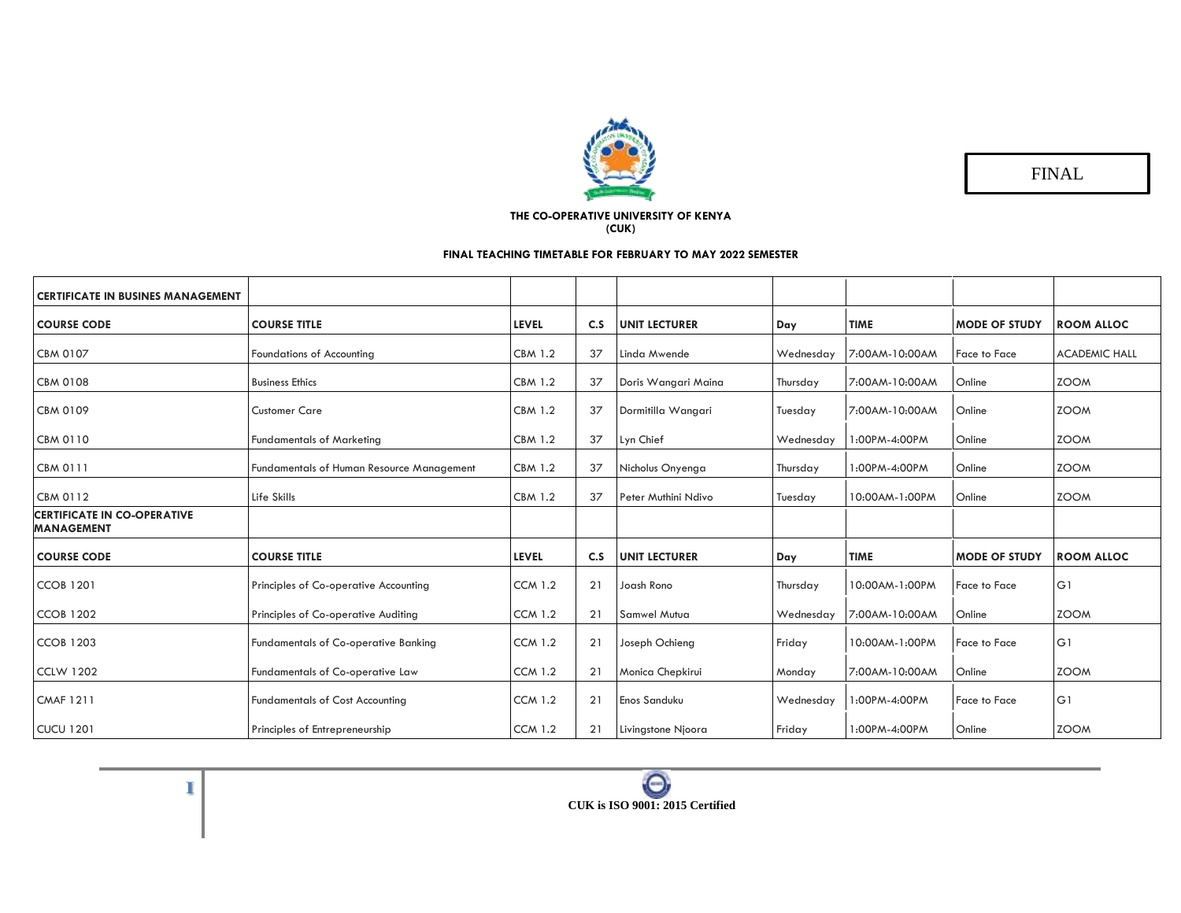

FINAL

## **THE CO-OPERATIVE UNIVERSITY OF KENYA (CUK)**

## **FINAL TEACHING TIMETABLE FOR FEBRUARY TO MAY 2022 SEMESTER**

| <b>CERTIFICATE IN BUSINES MANAGEMENT</b>                |                                                  |                |     |                      |           |                |                      |                      |
|---------------------------------------------------------|--------------------------------------------------|----------------|-----|----------------------|-----------|----------------|----------------------|----------------------|
| <b>COURSE CODE</b>                                      | <b>COURSE TITLE</b>                              | <b>LEVEL</b>   | C.S | <b>UNIT LECTURER</b> | Day       | <b>TIME</b>    | <b>MODE OF STUDY</b> | <b>ROOM ALLOC</b>    |
| <b>CBM 0107</b>                                         | Foundations of Accounting                        | <b>CBM 1.2</b> | 37  | Linda Mwende         | Wednesday | 7:00AM-10:00AM | <b>Face to Face</b>  | <b>ACADEMIC HALL</b> |
| <b>CBM 0108</b>                                         | <b>Business Ethics</b>                           | <b>CBM 1.2</b> | 37  | Doris Wangari Maina  | Thursday  | 7:00AM-10:00AM | Online               | <b>ZOOM</b>          |
| <b>CBM 0109</b>                                         | <b>Customer Care</b>                             | <b>CBM 1.2</b> | 37  | Dormitilla Wangari   | Tuesday   | 7:00AM-10:00AM | Online               | <b>ZOOM</b>          |
| <b>CBM 0110</b>                                         | <b>Fundamentals of Marketing</b>                 | <b>CBM 1.2</b> | 37  | Lyn Chief            | Wednesday | 1:00PM-4:00PM  | Online               | <b>ZOOM</b>          |
| <b>CBM 0111</b>                                         | <b>Fundamentals of Human Resource Management</b> | <b>CBM 1.2</b> | 37  | Nicholus Onyenga     | Thursday  | 1:00PM-4:00PM  | Online               | <b>ZOOM</b>          |
| <b>CBM 0112</b>                                         | Life Skills                                      | <b>CBM 1.2</b> | 37  | Peter Muthini Ndivo  | Tuesday   | 10:00AM-1:00PM | Online               | <b>ZOOM</b>          |
| <b>CERTIFICATE IN CO-OPERATIVE</b><br><b>MANAGEMENT</b> |                                                  |                |     |                      |           |                |                      |                      |
| <b>COURSE CODE</b>                                      | <b>COURSE TITLE</b>                              | <b>LEVEL</b>   | C.S | <b>UNIT LECTURER</b> | Day       | <b>TIME</b>    | <b>MODE OF STUDY</b> | <b>ROOM ALLOC</b>    |
| <b>CCOB 1201</b>                                        | Principles of Co-operative Accounting            | <b>CCM 1.2</b> | 21  | Joash Rono           | Thursday  | 10:00AM-1:00PM | <b>Face to Face</b>  | G1                   |
| <b>CCOB 1202</b>                                        | Principles of Co-operative Auditing              | <b>CCM 1.2</b> | 21  | <b>Samwel Mutua</b>  | Wednesday | 7:00AM-10:00AM | Online               | <b>ZOOM</b>          |
| <b>CCOB 1203</b>                                        | <b>Fundamentals of Co-operative Banking</b>      | <b>CCM 1.2</b> | 21  | Joseph Ochieng       | Friday    | 10:00AM-1:00PM | <b>Face to Face</b>  | G1                   |
| <b>CCLW 1202</b>                                        | Fundamentals of Co-operative Law                 | <b>CCM 1.2</b> | 21  | Monica Chepkirui     | Monday    | 7:00AM-10:00AM | Online               | <b>ZOOM</b>          |
| <b>CMAF 1211</b>                                        | <b>Fundamentals of Cost Accounting</b>           | <b>CCM 1.2</b> | 21  | <b>Enos Sanduku</b>  | Wednesday | 1:00PM-4:00PM  | Face to Face         | G1                   |
| <b>CUCU 1201</b>                                        | Principles of Entrepreneurship                   | <b>CCM 1.2</b> | 21  | Livingstone Njoora   | Friday    | 1:00PM-4:00PM  | Online               | <b>ZOOM</b>          |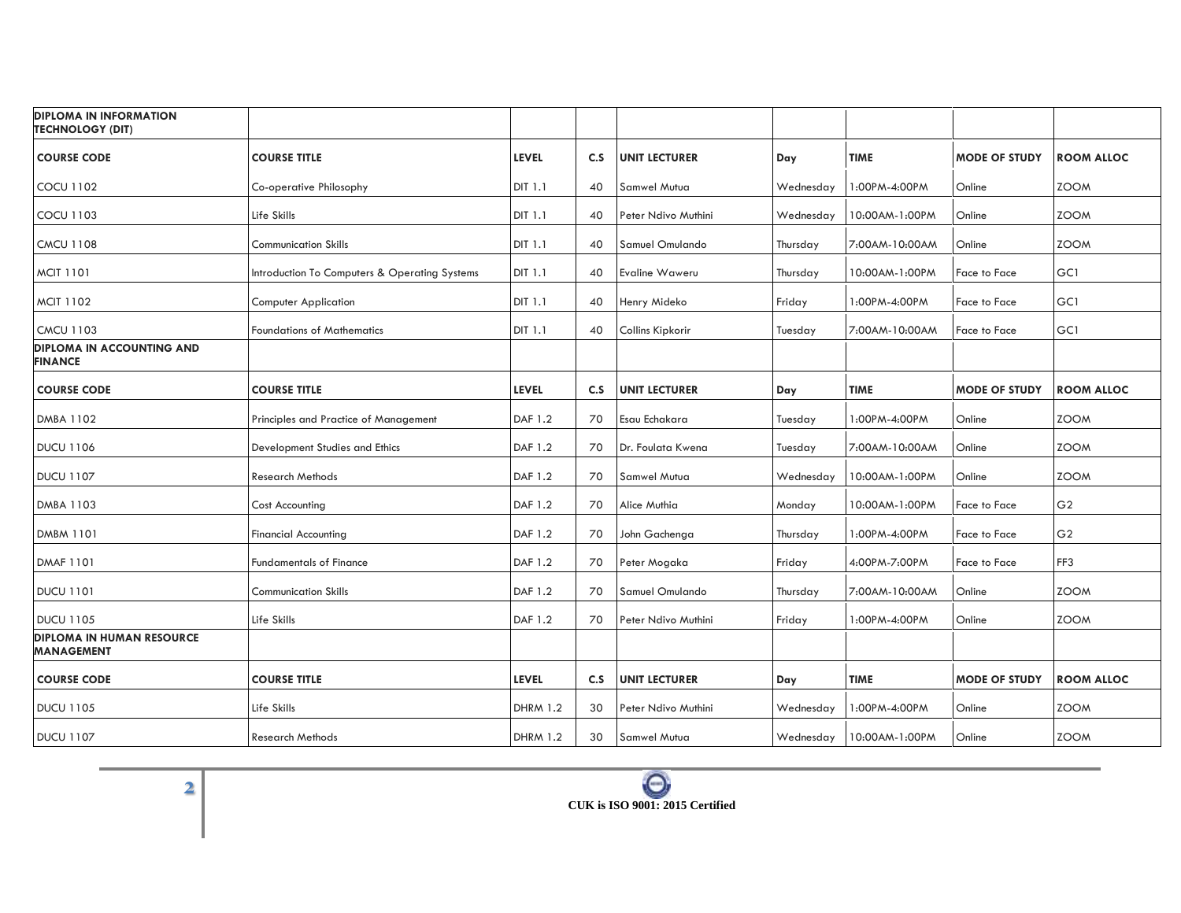| <b>DIPLOMA IN INFORMATION</b><br><b>TECHNOLOGY (DIT)</b> |                                               |                 |     |                      |           |                |                      |                   |
|----------------------------------------------------------|-----------------------------------------------|-----------------|-----|----------------------|-----------|----------------|----------------------|-------------------|
| <b>COURSE CODE</b>                                       | <b>COURSE TITLE</b>                           | <b>LEVEL</b>    | C.S | <b>UNIT LECTURER</b> | Day       | <b>TIME</b>    | <b>MODE OF STUDY</b> | <b>ROOM ALLOC</b> |
| <b>COCU 1102</b>                                         | Co-operative Philosophy                       | <b>DIT 1.1</b>  | 40  | Samwel Mutua         | Wednesday | 1:00PM-4:00PM  | Online               | <b>ZOOM</b>       |
| <b>COCU 1103</b>                                         | Life Skills                                   | DIT 1.1         | 40  | Peter Ndivo Muthini  | Wednesday | 10:00AM-1:00PM | Online               | <b>ZOOM</b>       |
| <b>CMCU 1108</b>                                         | <b>Communication Skills</b>                   | DIT 1.1         | 40  | Samuel Omulando      | Thursday  | 7:00AM-10:00AM | Online               | <b>ZOOM</b>       |
| <b>MCIT 1101</b>                                         | Introduction To Computers & Operating Systems | <b>DIT 1.1</b>  | 40  | Evaline Waweru       | Thursday  | 10:00AM-1:00PM | Face to Face         | GC1               |
| <b>MCIT 1102</b>                                         | <b>Computer Application</b>                   | <b>DIT 1.1</b>  | 40  | Henry Mideko         | Friday    | 1:00PM-4:00PM  | Face to Face         | GC1               |
| <b>CMCU 1103</b>                                         | <b>Foundations of Mathematics</b>             | <b>DIT 1.1</b>  | 40  | Collins Kipkorir     | Tuesday   | 7:00AM-10:00AM | Face to Face         | GC1               |
| <b>DIPLOMA IN ACCOUNTING AND</b><br><b>FINANCE</b>       |                                               |                 |     |                      |           |                |                      |                   |
| <b>COURSE CODE</b>                                       | <b>COURSE TITLE</b>                           | <b>LEVEL</b>    | C.S | <b>UNIT LECTURER</b> | Day       | <b>TIME</b>    | <b>MODE OF STUDY</b> | <b>ROOM ALLOC</b> |
| <b>DMBA 1102</b>                                         | Principles and Practice of Management         | <b>DAF 1.2</b>  | 70  | Esau Echakara        | Tuesday   | 1:00PM-4:00PM  | Online               | <b>ZOOM</b>       |
| <b>DUCU 1106</b>                                         | Development Studies and Ethics                | DAF 1.2         | 70  | Dr. Foulata Kwena    | Tuesday   | 7:00AM-10:00AM | Online               | <b>ZOOM</b>       |
| <b>DUCU 1107</b>                                         | <b>Research Methods</b>                       | DAF 1.2         | 70  | Samwel Mutua         | Wednesday | 10:00AM-1:00PM | Online               | <b>ZOOM</b>       |
| <b>DMBA 1103</b>                                         | Cost Accounting                               | DAF 1.2         | 70  | Alice Muthia         | Monday    | 10:00AM-1:00PM | Face to Face         | G <sub>2</sub>    |
| DMBM 1101                                                | <b>Financial Accounting</b>                   | DAF 1.2         | 70  | John Gachenga        | Thursday  | 1:00PM-4:00PM  | Face to Face         | G <sub>2</sub>    |
| <b>DMAF 1101</b>                                         | <b>Fundamentals of Finance</b>                | <b>DAF 1.2</b>  | 70  | Peter Mogaka         | Friday    | 4:00PM-7:00PM  | Face to Face         | FF3               |
| <b>DUCU 1101</b>                                         | <b>Communication Skills</b>                   | DAF 1.2         | 70  | Samuel Omulando      | Thursday  | 7:00AM-10:00AM | Online               | <b>ZOOM</b>       |
| <b>DUCU 1105</b>                                         | Life Skills                                   | <b>DAF 1.2</b>  | 70  | Peter Ndivo Muthini  | Friday    | 1:00PM-4:00PM  | Online               | <b>ZOOM</b>       |
| <b>DIPLOMA IN HUMAN RESOURCE</b><br><b>MANAGEMENT</b>    |                                               |                 |     |                      |           |                |                      |                   |
| <b>COURSE CODE</b>                                       | <b>COURSE TITLE</b>                           | <b>LEVEL</b>    | C.S | <b>UNIT LECTURER</b> | Day       | <b>TIME</b>    | <b>MODE OF STUDY</b> | <b>ROOM ALLOC</b> |
| <b>DUCU 1105</b>                                         | Life Skills                                   | <b>DHRM 1.2</b> | 30  | Peter Ndivo Muthini  | Wednesday | 1:00PM-4:00PM  | Online               | <b>ZOOM</b>       |
| <b>DUCU 1107</b>                                         | <b>Research Methods</b>                       | <b>DHRM 1.2</b> | 30  | Samwel Mutua         | Wednesday | 10:00AM-1:00PM | Online               | <b>ZOOM</b>       |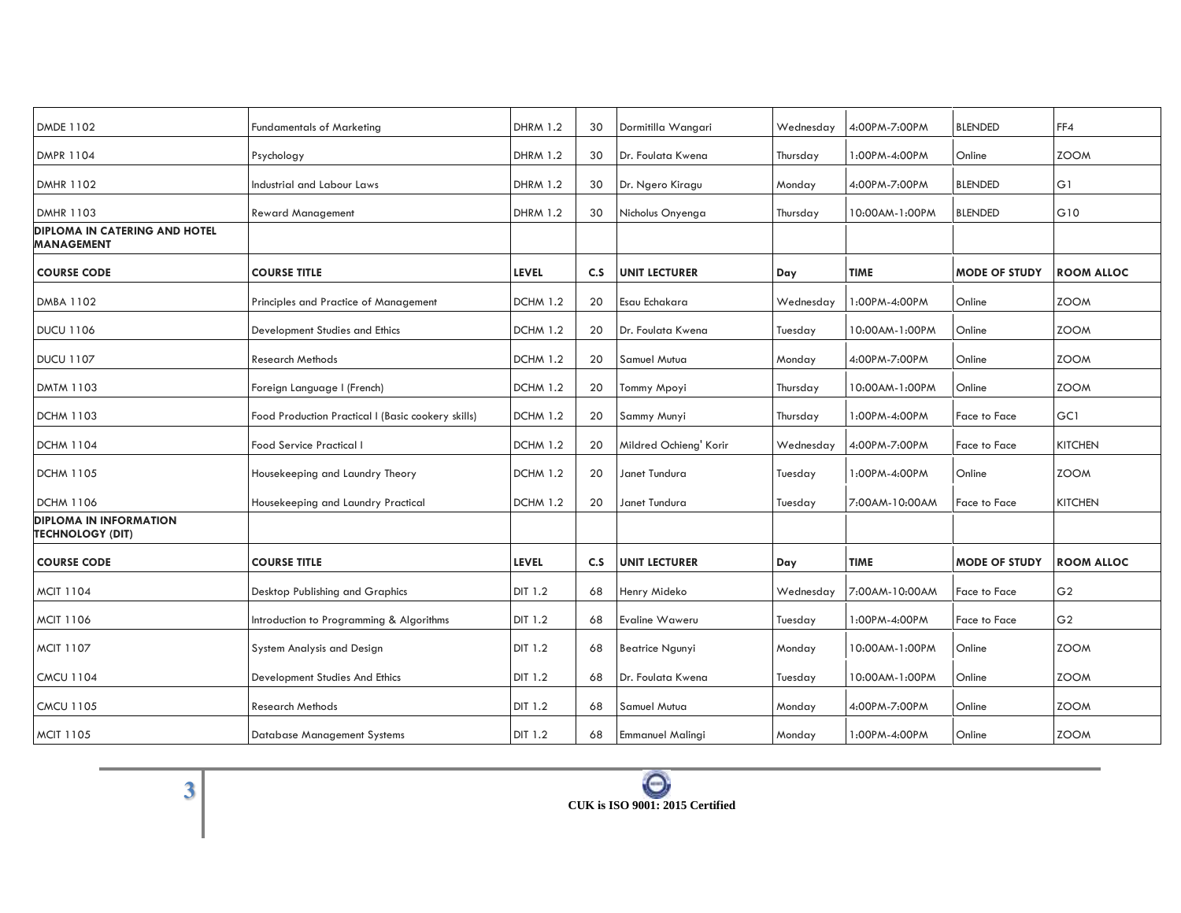| <b>Fundamentals of Marketing</b>                   | <b>DHRM 1.2</b> | 30  | Dormitilla Wangari      | Wednesday | 4:00PM-7:00PM  | <b>BLENDED</b>       | FF4               |
|----------------------------------------------------|-----------------|-----|-------------------------|-----------|----------------|----------------------|-------------------|
| Psychology                                         | <b>DHRM 1.2</b> | 30  | Dr. Foulata Kwena       | Thursday  | 1:00PM-4:00PM  | Online               | <b>ZOOM</b>       |
| Industrial and Labour Laws                         | <b>DHRM 1.2</b> | 30  | Dr. Ngero Kiragu        | Monday    | 4:00PM-7:00PM  | <b>BLENDED</b>       | G1                |
| <b>Reward Management</b>                           | <b>DHRM 1.2</b> | 30  | Nicholus Onyenga        | Thursday  | 10:00AM-1:00PM | <b>BLENDED</b>       | G10               |
|                                                    |                 |     |                         |           |                |                      |                   |
| <b>COURSE TITLE</b>                                | <b>LEVEL</b>    | C.S | <b>UNIT LECTURER</b>    | Day       | <b>TIME</b>    | <b>MODE OF STUDY</b> | <b>ROOM ALLOC</b> |
| Principles and Practice of Management              | DCHM 1.2        | 20  | Esau Echakara           | Wednesday | 1:00PM-4:00PM  | Online               | <b>ZOOM</b>       |
| Development Studies and Ethics                     | <b>DCHM 1.2</b> | 20  | Dr. Foulata Kwena       | Tuesday   | 0:00AM-1:00PM  | Online               | <b>ZOOM</b>       |
| Research Methods                                   | <b>DCHM 1.2</b> | 20  | Samuel Mutua            | Monday    | 4:00PM-7:00PM  | Online               | <b>ZOOM</b>       |
| Foreign Language I (French)                        | <b>DCHM 1.2</b> | 20  | Tommy Mpoyi             | Thursday  | 10:00AM-1:00PM | Online               | <b>ZOOM</b>       |
| Food Production Practical I (Basic cookery skills) | <b>DCHM 1.2</b> | 20  | Sammy Munyi             | Thursday  | 1:00PM-4:00PM  | Face to Face         | GC1               |
| Food Service Practical I                           | <b>DCHM 1.2</b> | 20  | Mildred Ochieng' Korir  | Wednesday | 4:00PM-7:00PM  | Face to Face         | <b>KITCHEN</b>    |
| Housekeeping and Laundry Theory                    | <b>DCHM 1.2</b> | 20  | Janet Tundura           | Tuesday   | 1:00PM-4:00PM  | Online               | <b>ZOOM</b>       |
| Housekeeping and Laundry Practical                 | <b>DCHM 1.2</b> | 20  | Janet Tundura           | Tuesday   | 7:00AM-10:00AM | Face to Face         | <b>KITCHEN</b>    |
|                                                    |                 |     |                         |           |                |                      |                   |
| <b>COURSE TITLE</b>                                | <b>LEVEL</b>    | C.S | <b>UNIT LECTURER</b>    | Day       | <b>TIME</b>    | <b>MODE OF STUDY</b> | <b>ROOM ALLOC</b> |
| Desktop Publishing and Graphics                    | DIT 1.2         | 68  | Henry Mideko            | Wednesday | 7:00AM-10:00AM | Face to Face         | G <sub>2</sub>    |
| Introduction to Programming & Algorithms           | DIT 1.2         | 68  | Evaline Waweru          | Tuesday   | 1:00PM-4:00PM  | Face to Face         | G <sub>2</sub>    |
| System Analysis and Design                         | DIT 1.2         | 68  | <b>Beatrice Ngunyi</b>  | Monday    | 10:00AM-1:00PM | Online               | <b>ZOOM</b>       |
| Development Studies And Ethics                     | DIT 1.2         | 68  | Dr. Foulata Kwena       | Tuesday   | 10:00AM-1:00PM | Online               | <b>ZOOM</b>       |
| <b>Research Methods</b>                            | DIT 1.2         | 68  | Samuel Mutua            | Monday    | 4:00PM-7:00PM  | Online               | <b>ZOOM</b>       |
| Database Management Systems                        | DIT 1.2         | 68  | <b>Emmanuel Malingi</b> | Monday    | 1:00PM-4:00PM  | Online               | <b>ZOOM</b>       |
|                                                    |                 |     |                         |           |                |                      |                   |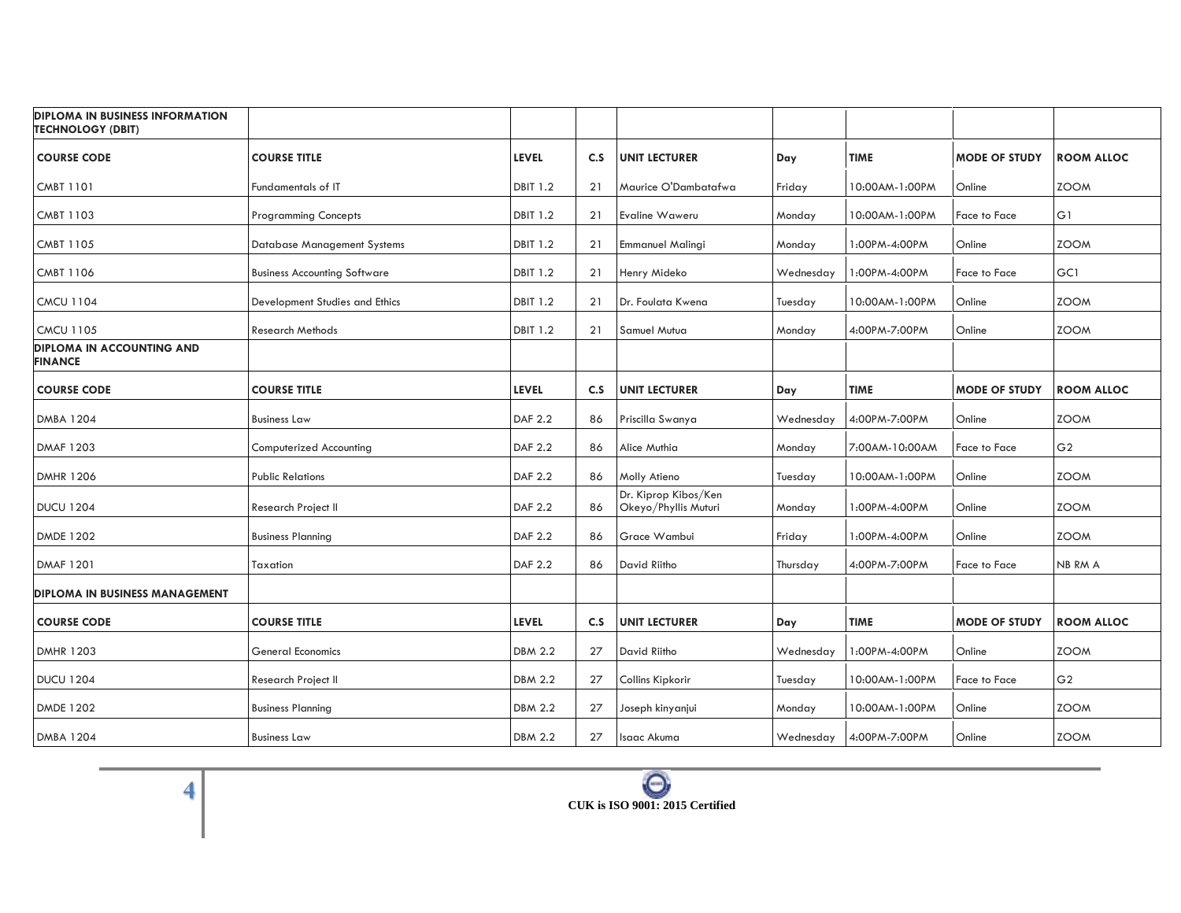| <b>DIPLOMA IN BUSINESS INFORMATION</b><br><b>TECHNOLOGY (DBIT)</b> |                                     |                 |     |                                              |           |                |                      |                   |
|--------------------------------------------------------------------|-------------------------------------|-----------------|-----|----------------------------------------------|-----------|----------------|----------------------|-------------------|
| <b>COURSE CODE</b>                                                 | <b>COURSE TITLE</b>                 | <b>LEVEL</b>    | C.S | <b>UNIT LECTURER</b>                         | Day       | <b>TIME</b>    | <b>MODE OF STUDY</b> | <b>ROOM ALLOC</b> |
| <b>CMBT 1101</b>                                                   | Fundamentals of IT                  | <b>DBIT 1.2</b> | 21  | Maurice O'Dambatafwa                         | Friday    | 10:00AM-1:00PM | Online               | <b>ZOOM</b>       |
| <b>CMBT 1103</b>                                                   | <b>Programming Concepts</b>         | <b>DBIT 1.2</b> | 21  | Evaline Waweru                               | Monday    | 10:00AM-1:00PM | Face to Face         | G1                |
| <b>CMBT 1105</b>                                                   | <b>Database Management Systems</b>  | <b>DBIT 1.2</b> | 21  | <b>Emmanuel Malingi</b>                      | Monday    | 1:00PM-4:00PM  | Online               | <b>ZOOM</b>       |
| <b>CMBT 1106</b>                                                   | <b>Business Accounting Software</b> | <b>DBIT 1.2</b> | 21  | Henry Mideko                                 | Wednesday | 1:00PM-4:00PM  | Face to Face         | GC1               |
| <b>CMCU 1104</b>                                                   | Development Studies and Ethics      | <b>DBIT 1.2</b> | 21  | Dr. Foulata Kwena                            | Tuesday   | 10:00AM-1:00PM | Online               | <b>ZOOM</b>       |
| <b>CMCU 1105</b>                                                   | <b>Research Methods</b>             | <b>DBIT 1.2</b> | 21  | Samuel Mutua                                 | Monday    | 4:00PM-7:00PM  | Online               | <b>ZOOM</b>       |
| <b>DIPLOMA IN ACCOUNTING AND</b><br><b>FINANCE</b>                 |                                     |                 |     |                                              |           |                |                      |                   |
| <b>COURSE CODE</b>                                                 | <b>COURSE TITLE</b>                 | <b>LEVEL</b>    | C.S | <b>UNIT LECTURER</b>                         | Day       | <b>TIME</b>    | <b>MODE OF STUDY</b> | <b>ROOM ALLOC</b> |
| <b>DMBA 1204</b>                                                   | <b>Business Law</b>                 | DAF 2.2         | 86  | Priscilla Swanya                             | Wednesday | 4:00PM-7:00PM  | Online               | <b>ZOOM</b>       |
| DMAF 1203                                                          | Computerized Accounting             | DAF 2.2         | 86  | Alice Muthia                                 | Monday    | 7:00AM-10:00AM | Face to Face         | G <sub>2</sub>    |
| <b>DMHR 1206</b>                                                   | <b>Public Relations</b>             | DAF 2.2         | 86  | Molly Atieno                                 | Tuesday   | 10:00AM-1:00PM | Online               | <b>ZOOM</b>       |
| <b>DUCU 1204</b>                                                   | Research Project II                 | DAF 2.2         | 86  | Dr. Kiprop Kibos/Ken<br>Okeyo/Phyllis Muturi | Monday    | 1:00PM-4:00PM  | Online               | <b>ZOOM</b>       |
| <b>DMDE 1202</b>                                                   | <b>Business Planning</b>            | <b>DAF 2.2</b>  | 86  | Grace Wambui                                 | Friday    | 1:00PM-4:00PM  | Online               | <b>ZOOM</b>       |
| <b>DMAF 1201</b>                                                   | Taxation                            | DAF 2.2         | 86  | David Riitho                                 | Thursday  | 4:00PM-7:00PM  | Face to Face         | NB RM A           |
| <b>DIPLOMA IN BUSINESS MANAGEMENT</b>                              |                                     |                 |     |                                              |           |                |                      |                   |
| <b>COURSE CODE</b>                                                 | <b>COURSE TITLE</b>                 | <b>LEVEL</b>    | C.S | <b>UNIT LECTURER</b>                         | Day       | <b>TIME</b>    | <b>MODE OF STUDY</b> | <b>ROOM ALLOC</b> |
| <b>DMHR 1203</b>                                                   | <b>General Economics</b>            | <b>DBM 2.2</b>  | 27  | David Riitho                                 | Wednesday | 1:00PM-4:00PM  | Online               | <b>ZOOM</b>       |
| <b>DUCU 1204</b>                                                   | Research Project II                 | <b>DBM 2.2</b>  | 27  | Collins Kipkorir                             | Tuesday   | 0:00AM-1:00PM  | Face to Face         | G <sub>2</sub>    |
| <b>DMDE 1202</b>                                                   | <b>Business Planning</b>            | <b>DBM 2.2</b>  | 27  | Joseph kinyanjui                             | Monday    | 10:00AM-1:00PM | Online               | <b>ZOOM</b>       |
| <b>DMBA 1204</b>                                                   | <b>Business Law</b>                 | <b>DBM 2.2</b>  | 27  | Isaac Akuma                                  | Wednesday | 4:00PM-7:00PM  | Online               | <b>ZOOM</b>       |

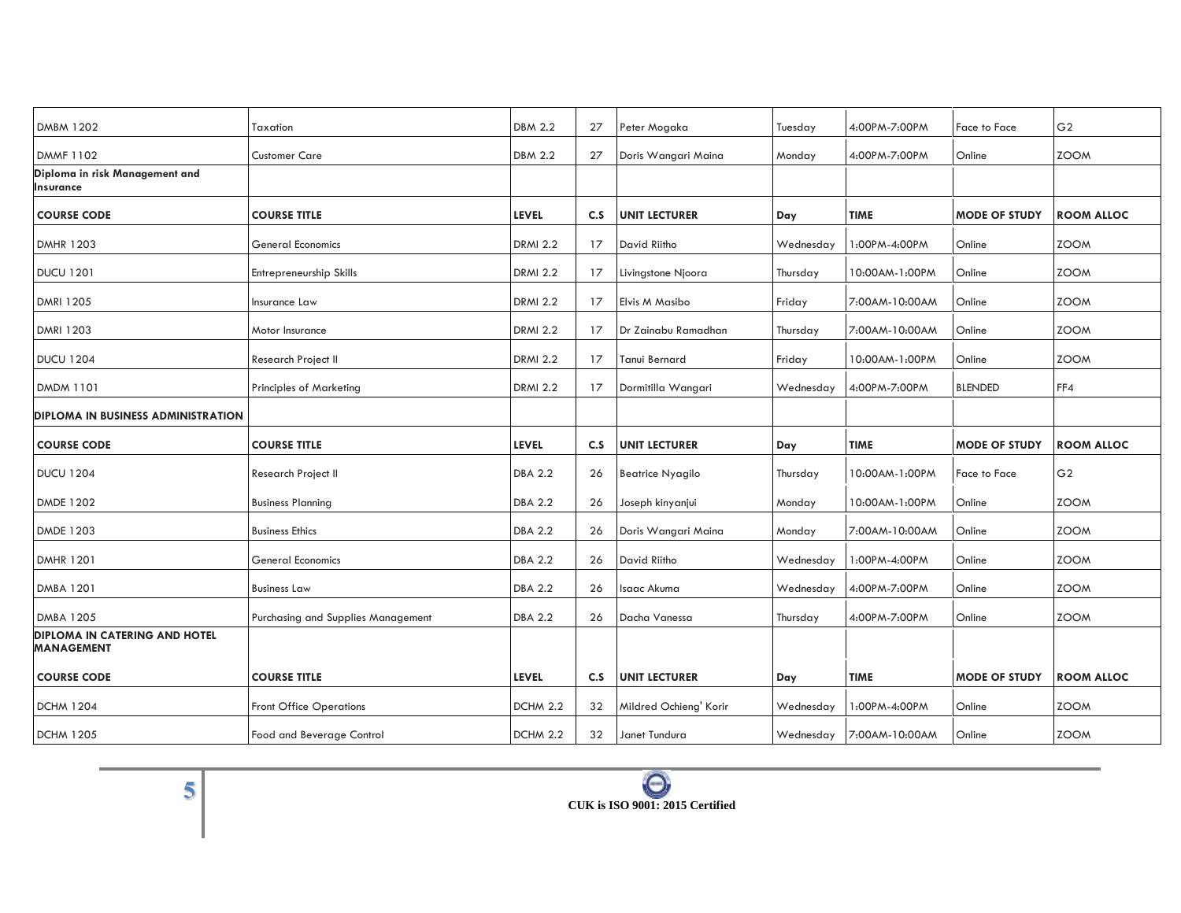| Taxation                           | <b>DBM 2.2</b>  | 27  | Peter Mogaka            | Tuesday   | 4:00PM-7:00PM  | Face to Face         | G <sub>2</sub>    |
|------------------------------------|-----------------|-----|-------------------------|-----------|----------------|----------------------|-------------------|
| <b>Customer Care</b>               | <b>DBM 2.2</b>  | 27  | Doris Wangari Maina     | Monday    | 4:00PM-7:00PM  | Online               | <b>ZOOM</b>       |
|                                    |                 |     |                         |           |                |                      |                   |
| <b>COURSE TITLE</b>                | <b>LEVEL</b>    | C.S | <b>UNIT LECTURER</b>    | Day       | <b>TIME</b>    | <b>MODE OF STUDY</b> | <b>ROOM ALLOC</b> |
| <b>General Economics</b>           | <b>DRMI 2.2</b> | 17  | David Riitho            | Wednesday | 1:00PM-4:00PM  | Online               | <b>ZOOM</b>       |
| Entrepreneurship Skills            | <b>DRMI 2.2</b> | 17  | Livingstone Njoora      | Thursday  | 10:00AM-1:00PM | Online               | <b>ZOOM</b>       |
| Insurance Law                      | <b>DRMI 2.2</b> | 17  | Elvis M Masibo          | Friday    | 7:00AM-10:00AM | Online               | <b>ZOOM</b>       |
| Motor Insurance                    | <b>DRMI 2.2</b> | 17  | Dr Zainabu Ramadhan     | Thursday  | 7:00AM-10:00AM | Online               | <b>ZOOM</b>       |
| Research Project II                | <b>DRMI 2.2</b> | 17  | Tanui Bernard           | Friday    | 0:00AM-1:00PM  | Online               | <b>ZOOM</b>       |
|                                    |                 |     |                         |           |                |                      |                   |
| <b>Principles of Marketing</b>     | <b>DRMI 2.2</b> | 17  | Dormitilla Wangari      | Wednesday | 4:00PM-7:00PM  | <b>BLENDED</b>       | FF4               |
|                                    |                 |     |                         |           |                |                      |                   |
| <b>COURSE TITLE</b>                | <b>LEVEL</b>    | C.S | <b>UNIT LECTURER</b>    | Day       | <b>TIME</b>    | <b>MODE OF STUDY</b> | <b>ROOM ALLOC</b> |
| Research Project II                | <b>DBA 2.2</b>  | 26  | <b>Beatrice Nyagilo</b> | Thursday  | 10:00AM-1:00PM | Face to Face         | G <sub>2</sub>    |
| <b>Business Planning</b>           | <b>DBA 2.2</b>  | 26  | Joseph kinyanjui        | Monday    | 10:00AM-1:00PM | Online               | <b>ZOOM</b>       |
| <b>Business Ethics</b>             | <b>DBA 2.2</b>  | 26  | Doris Wangari Maina     | Monday    | 7:00AM-10:00AM | Online               | <b>ZOOM</b>       |
| General Economics                  | <b>DBA 2.2</b>  | 26  | David Riitho            | Wednesday | 1:00PM-4:00PM  | Online               | <b>ZOOM</b>       |
| <b>Business Law</b>                | <b>DBA 2.2</b>  | 26  | Isaac Akuma             | Wednesday | 4:00PM-7:00PM  | Online               | <b>ZOOM</b>       |
| Purchasing and Supplies Management | <b>DBA 2.2</b>  | 26  | Dacha Vanessa           | Thursday  | 4:00PM-7:00PM  | Online               | <b>ZOOM</b>       |
|                                    |                 |     |                         |           |                |                      |                   |
| <b>COURSE TITLE</b>                | <b>LEVEL</b>    | C.S | <b>UNIT LECTURER</b>    | Day       | <b>TIME</b>    | <b>MODE OF STUDY</b> | <b>ROOM ALLOC</b> |
| <b>Front Office Operations</b>     | DCHM 2.2        | 32  | Mildred Ochieng' Korir  | Wednesday | 1:00PM-4:00PM  | Online               | <b>ZOOM</b>       |
|                                    |                 |     |                         |           |                |                      |                   |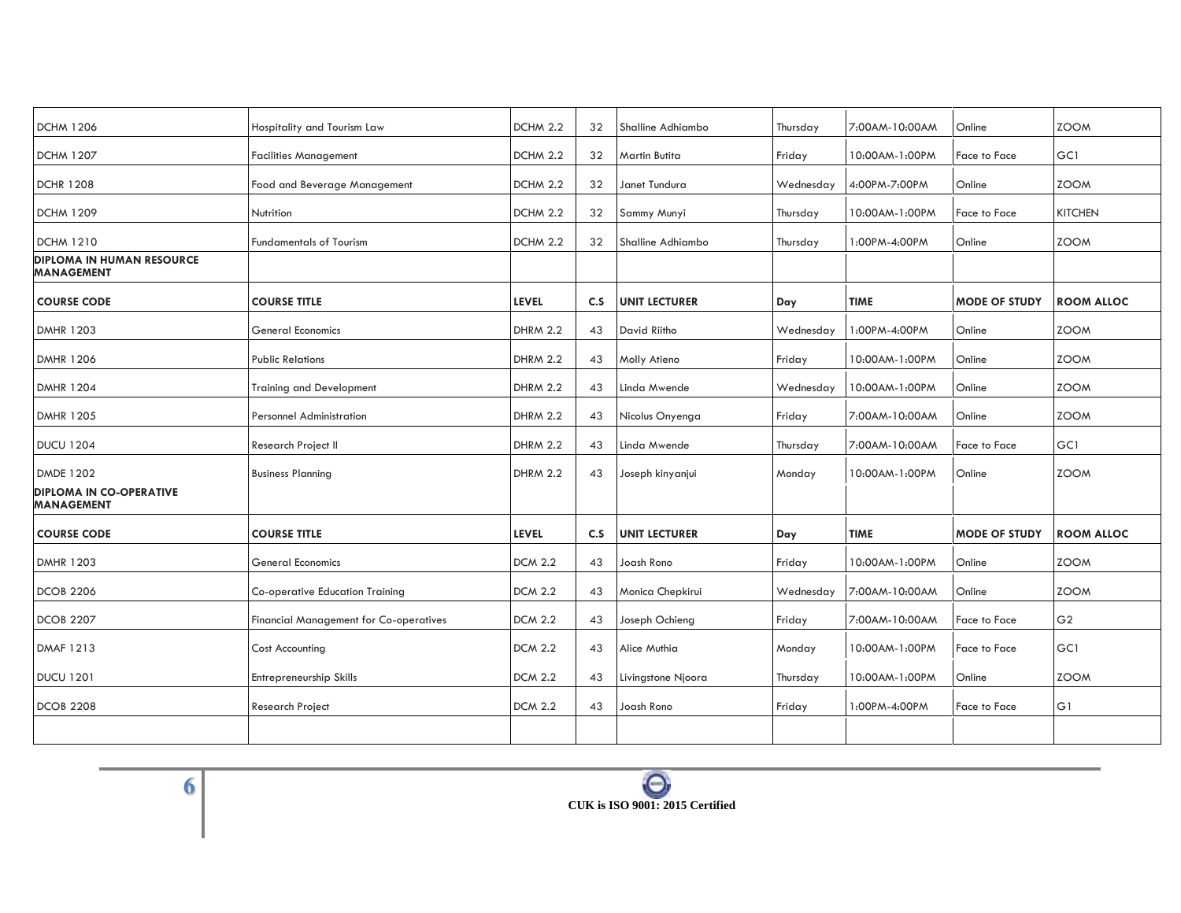| <b>DCHM 1206</b>                                      | Hospitality and Tourism Law                   | DCHM 2.2        | 32  | Shalline Adhiambo    | Thursday  | 7:00AM-10:00AM | Online               | <b>ZOOM</b>       |
|-------------------------------------------------------|-----------------------------------------------|-----------------|-----|----------------------|-----------|----------------|----------------------|-------------------|
| <b>DCHM 1207</b>                                      | <b>Facilities Management</b>                  | DCHM 2.2        | 32  | <b>Martin Butita</b> | Friday    | 10:00AM-1:00PM | Face to Face         | GC1               |
| <b>DCHR 1208</b>                                      | Food and Beverage Management                  | DCHM 2.2        | 32  | Janet Tundura        | Wednesday | 4:00PM-7:00PM  | Online               | <b>ZOOM</b>       |
| <b>DCHM 1209</b>                                      | Nutrition                                     | DCHM 2.2        | 32  | Sammy Munyi          | Thursday  | 10:00AM-1:00PM | Face to Face         | <b>KITCHEN</b>    |
| <b>DCHM 1210</b>                                      | <b>Fundamentals of Tourism</b>                | DCHM 2.2        | 32  | Shalline Adhiambo    | Thursday  | 1:00PM-4:00PM  | Online               | <b>ZOOM</b>       |
| <b>DIPLOMA IN HUMAN RESOURCE</b><br><b>MANAGEMENT</b> |                                               |                 |     |                      |           |                |                      |                   |
| <b>COURSE CODE</b>                                    | <b>COURSE TITLE</b>                           | <b>LEVEL</b>    | C.S | <b>UNIT LECTURER</b> | Day       | <b>TIME</b>    | <b>MODE OF STUDY</b> | <b>ROOM ALLOC</b> |
| <b>DMHR 1203</b>                                      | <b>General Economics</b>                      | <b>DHRM 2.2</b> | 43  | David Riitho         | Wednesday | 1:00PM-4:00PM  | Online               | <b>ZOOM</b>       |
| <b>DMHR 1206</b>                                      | <b>Public Relations</b>                       | <b>DHRM 2.2</b> | 43  | Molly Atieno         | Friday    | 0:00AM-1:00PM  | Online               | <b>ZOOM</b>       |
| <b>DMHR 1204</b>                                      | <b>Training and Development</b>               | <b>DHRM 2.2</b> | 43  | Linda Mwende         | Wednesday | 10:00AM-1:00PM | Online               | <b>ZOOM</b>       |
| <b>DMHR 1205</b>                                      | <b>Personnel Administration</b>               | <b>DHRM 2.2</b> | 43  | Nicolus Onyenga      | Friday    | 7:00AM-10:00AM | Online               | <b>ZOOM</b>       |
| <b>DUCU 1204</b>                                      | Research Project II                           | <b>DHRM 2.2</b> | 43  | Linda Mwende         | Thursday  | 7:00AM-10:00AM | Face to Face         | GC1               |
| <b>DMDE 1202</b>                                      | <b>Business Planning</b>                      | <b>DHRM 2.2</b> | 43  | Joseph kinyanjui     | Monday    | 10:00AM-1:00PM | Online               | <b>ZOOM</b>       |
| <b>DIPLOMA IN CO-OPERATIVE</b><br><b>MANAGEMENT</b>   |                                               |                 |     |                      |           |                |                      |                   |
| <b>COURSE CODE</b>                                    | <b>COURSE TITLE</b>                           | <b>LEVEL</b>    | C.S | <b>UNIT LECTURER</b> | Day       | <b>TIME</b>    | <b>MODE OF STUDY</b> | <b>ROOM ALLOC</b> |
| <b>DMHR 1203</b>                                      | <b>General Economics</b>                      | <b>DCM 2.2</b>  | 43  | Joash Rono           | Friday    | 10:00AM-1:00PM | Online               | <b>ZOOM</b>       |
| <b>DCOB 2206</b>                                      | Co-operative Education Training               | <b>DCM 2.2</b>  | 43  | Monica Chepkirui     | Wednesday | 7:00AM-10:00AM | Online               | <b>ZOOM</b>       |
| <b>DCOB 2207</b>                                      | <b>Financial Management for Co-operatives</b> | <b>DCM 2.2</b>  | 43  | Joseph Ochieng       | Friday    | 7:00AM-10:00AM | Face to Face         | G <sub>2</sub>    |
| <b>DMAF 1213</b>                                      | <b>Cost Accounting</b>                        | <b>DCM 2.2</b>  | 43  | Alice Muthia         | Monday    | 10:00AM-1:00PM | Face to Face         | GC1               |
| <b>DUCU 1201</b>                                      | Entrepreneurship Skills                       | <b>DCM 2.2</b>  | 43  | Livingstone Njoora   | Thursday  | 10:00AM-1:00PM | Online               | <b>ZOOM</b>       |
| <b>DCOB 2208</b>                                      | Research Project                              | <b>DCM 2.2</b>  | 43  | Joash Rono           | Friday    | 1:00PM-4:00PM  | Face to Face         | G1                |
|                                                       |                                               |                 |     |                      |           |                |                      |                   |
|                                                       |                                               |                 |     |                      |           |                |                      |                   |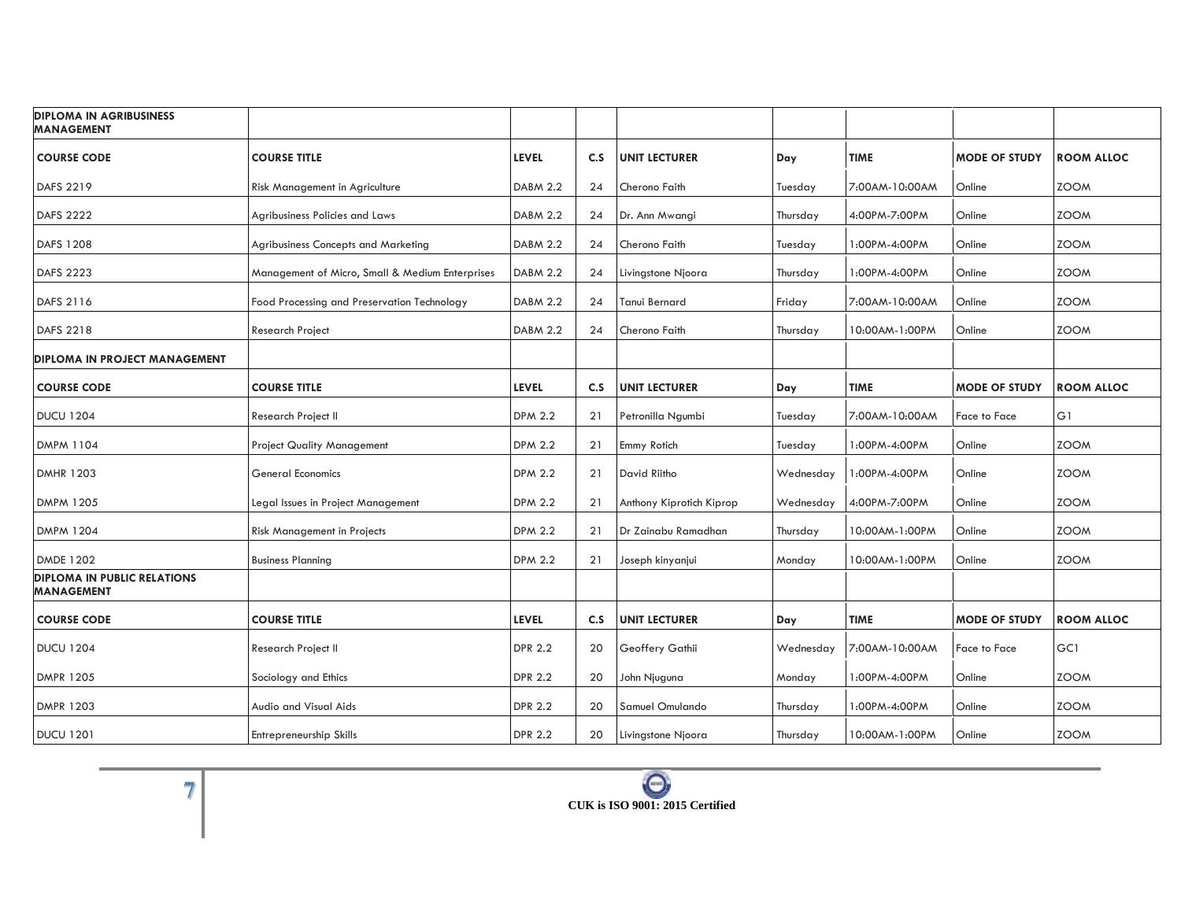| <b>DIPLOMA IN AGRIBUSINESS</b><br><b>MANAGEMENT</b>     |                                                 |                 |     |                          |           |                |                      |                   |
|---------------------------------------------------------|-------------------------------------------------|-----------------|-----|--------------------------|-----------|----------------|----------------------|-------------------|
| <b>COURSE CODE</b>                                      | <b>COURSE TITLE</b>                             | <b>LEVEL</b>    | C.S | <b>UNIT LECTURER</b>     | Day       | <b>TIME</b>    | <b>MODE OF STUDY</b> | <b>ROOM ALLOC</b> |
| DAFS 2219                                               | Risk Management in Agriculture                  | <b>DABM 2.2</b> | 24  | Cherono Faith            | Tuesday   | 7:00AM-10:00AM | Online               | <b>ZOOM</b>       |
| <b>DAFS 2222</b>                                        | Agribusiness Policies and Laws                  | <b>DABM 2.2</b> | 24  | Dr. Ann Mwangi           | Thursday  | 4:00PM-7:00PM  | Online               | <b>ZOOM</b>       |
| DAFS 1208                                               | Agribusiness Concepts and Marketing             | <b>DABM 2.2</b> | 24  | Cherono Faith            | Tuesday   | 1:00PM-4:00PM  | Online               | <b>ZOOM</b>       |
| DAFS 2223                                               | Management of Micro, Small & Medium Enterprises | <b>DABM 2.2</b> | 24  | Livingstone Njoora       | Thursday  | 1:00PM-4:00PM  | Online               | <b>ZOOM</b>       |
| DAFS 2116                                               | Food Processing and Preservation Technology     | <b>DABM 2.2</b> | 24  | Tanui Bernard            | Friday    | 7:00AM-10:00AM | Online               | <b>ZOOM</b>       |
| DAFS 2218                                               | <b>Research Project</b>                         | <b>DABM 2.2</b> | 24  | Cherono Faith            | Thursday  | 10:00AM-1:00PM | Online               | <b>ZOOM</b>       |
| <b>DIPLOMA IN PROJECT MANAGEMENT</b>                    |                                                 |                 |     |                          |           |                |                      |                   |
| <b>COURSE CODE</b>                                      | <b>COURSE TITLE</b>                             | <b>LEVEL</b>    | C.S | <b>UNIT LECTURER</b>     | Day       | <b>TIME</b>    | <b>MODE OF STUDY</b> | <b>ROOM ALLOC</b> |
| <b>DUCU 1204</b>                                        | Research Project II                             | <b>DPM 2.2</b>  | 21  | Petronilla Ngumbi        | Tuesday   | 7:00AM-10:00AM | Face to Face         | G1                |
| <b>DMPM 1104</b>                                        | <b>Project Quality Management</b>               | <b>DPM 2.2</b>  | 21  | Emmy Rotich              | Tuesday   | 1:00PM-4:00PM  | Online               | <b>ZOOM</b>       |
| <b>DMHR 1203</b>                                        | General Economics                               | <b>DPM 2.2</b>  | 21  | David Riitho             | Wednesday | 1:00PM-4:00PM  | Online               | <b>ZOOM</b>       |
| <b>DMPM 1205</b>                                        | Legal Issues in Project Management              | <b>DPM 2.2</b>  | 21  | Anthony Kiprotich Kiprop | Wednesday | 4:00PM-7:00PM  | Online               | <b>ZOOM</b>       |
| <b>DMPM 1204</b>                                        | <b>Risk Management in Projects</b>              | <b>DPM 2.2</b>  | 21  | Dr Zainabu Ramadhan      | Thursday  | 10:00AM-1:00PM | Online               | <b>ZOOM</b>       |
| <b>DMDE 1202</b>                                        | <b>Business Planning</b>                        | <b>DPM 2.2</b>  | 21  | Joseph kinyanjui         | Monday    | 10:00AM-1:00PM | Online               | <b>ZOOM</b>       |
| <b>DIPLOMA IN PUBLIC RELATIONS</b><br><b>MANAGEMENT</b> |                                                 |                 |     |                          |           |                |                      |                   |
| <b>COURSE CODE</b>                                      | <b>COURSE TITLE</b>                             | <b>LEVEL</b>    | C.S | <b>UNIT LECTURER</b>     | Day       | <b>TIME</b>    | <b>MODE OF STUDY</b> | <b>ROOM ALLOC</b> |
| <b>DUCU 1204</b>                                        | Research Project II                             | <b>DPR 2.2</b>  | 20  | Geoffery Gathii          | Wednesday | 7:00AM-10:00AM | Face to Face         | GC1               |
| <b>DMPR 1205</b>                                        | Sociology and Ethics                            | <b>DPR 2.2</b>  | 20  | John Njuguna             | Monday    | 1:00PM-4:00PM  | Online               | <b>ZOOM</b>       |
| <b>DMPR 1203</b>                                        | Audio and Visual Aids                           | <b>DPR 2.2</b>  | 20  | Samuel Omulando          | Thursday  | 1:00PM-4:00PM  | Online               | <b>ZOOM</b>       |
| <b>DUCU 1201</b>                                        | Entrepreneurship Skills                         | <b>DPR 2.2</b>  | 20  | Livingstone Njoora       | Thursday  | 10:00AM-1:00PM | Online               | <b>ZOOM</b>       |

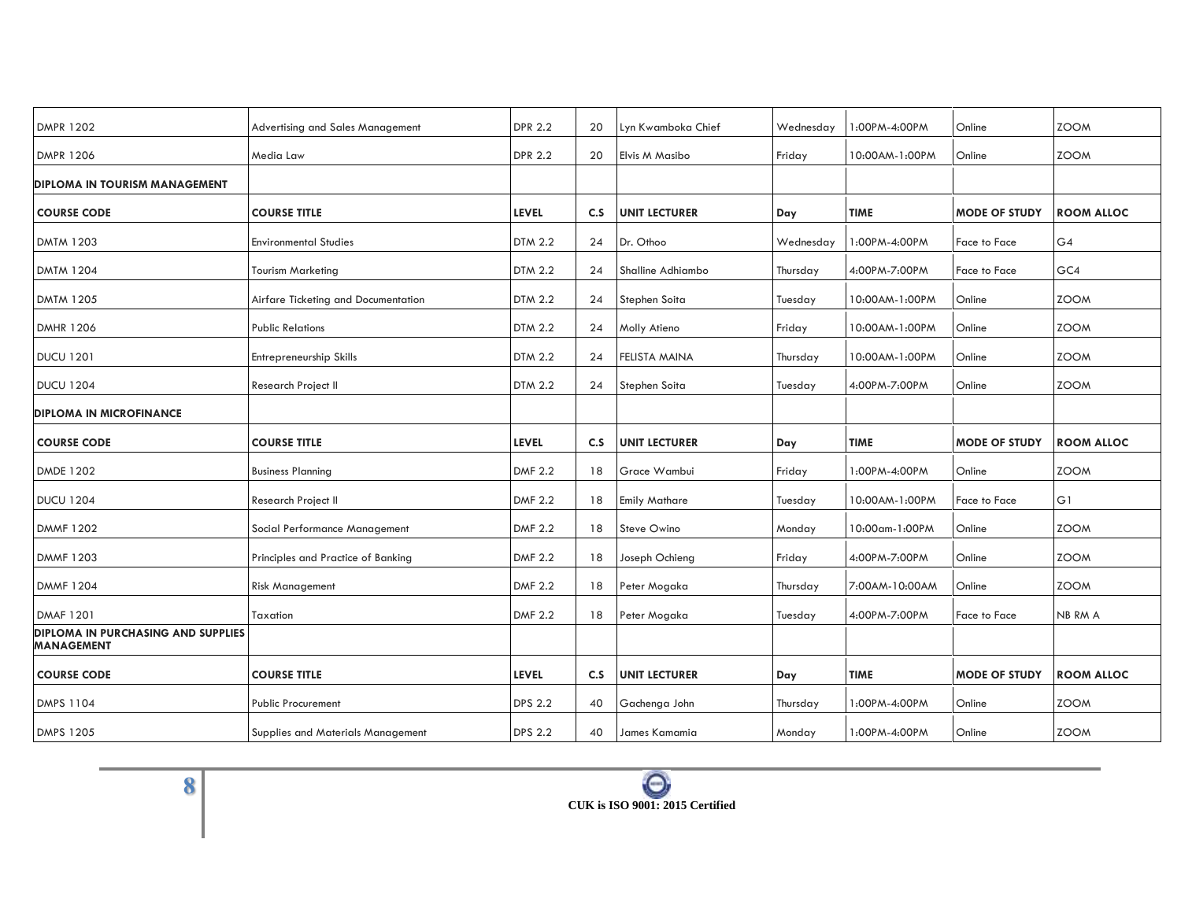| <b>DMPR 1202</b>                                               | Advertising and Sales Management    | <b>DPR 2.2</b> | 20  | Lyn Kwamboka Chief   | Wednesday | 1:00PM-4:00PM    | Online               | <b>ZOOM</b>       |
|----------------------------------------------------------------|-------------------------------------|----------------|-----|----------------------|-----------|------------------|----------------------|-------------------|
| <b>DMPR 1206</b>                                               | Media Law                           | <b>DPR 2.2</b> | 20  | Elvis M Masibo       | Friday    | 10:00AM-1:00PM   | Online               | <b>ZOOM</b>       |
| <b>DIPLOMA IN TOURISM MANAGEMENT</b>                           |                                     |                |     |                      |           |                  |                      |                   |
| <b>COURSE CODE</b>                                             | <b>COURSE TITLE</b>                 | <b>LEVEL</b>   | C.S | <b>UNIT LECTURER</b> | Day       | <b>TIME</b>      | <b>MODE OF STUDY</b> | <b>ROOM ALLOC</b> |
| <b>DMTM 1203</b>                                               | <b>Environmental Studies</b>        | <b>DTM 2.2</b> | 24  | Dr. Othoo            | Wednesday | 1:00PM-4:00PM    | Face to Face         | G4                |
| <b>DMTM 1204</b>                                               | <b>Tourism Marketing</b>            | <b>DTM 2.2</b> | 24  | Shalline Adhiambo    | Thursday  | 4:00PM-7:00PM    | Face to Face         | GC4               |
| <b>DMTM 1205</b>                                               | Airfare Ticketing and Documentation | <b>DTM 2.2</b> | 24  | Stephen Soita        | Tuesday   | 10:00AM-1:00PM   | Online               | <b>ZOOM</b>       |
| <b>DMHR 1206</b>                                               | <b>Public Relations</b>             | DTM 2.2        | 24  | Molly Atieno         | Friday    | 10:00AM-1:00PM   | Online               | <b>ZOOM</b>       |
| <b>DUCU 1201</b>                                               | Entrepreneurship Skills             | <b>DTM 2.2</b> | 24  | FELISTA MAINA        | Thursday  | 10:00AM-1:00PM   | Online               | <b>ZOOM</b>       |
| <b>DUCU 1204</b>                                               | Research Project II                 | <b>DTM 2.2</b> | 24  | Stephen Soita        | Tuesday   | 4:00PM-7:00PM    | Online               | <b>ZOOM</b>       |
| <b>DIPLOMA IN MICROFINANCE</b>                                 |                                     |                |     |                      |           |                  |                      |                   |
| <b>COURSE CODE</b>                                             | <b>COURSE TITLE</b>                 | <b>LEVEL</b>   | C.S | <b>UNIT LECTURER</b> | Day       | <b>TIME</b>      | <b>MODE OF STUDY</b> | <b>ROOM ALLOC</b> |
| <b>DMDE 1202</b>                                               | <b>Business Planning</b>            | <b>DMF 2.2</b> | 18  | Grace Wambui         | Friday    | 1:00PM-4:00PM    | Online               | <b>ZOOM</b>       |
| <b>DUCU 1204</b>                                               | Research Project II                 | <b>DMF 2.2</b> | 18  | <b>Emily Mathare</b> | Tuesday   | 0:00AM-1:00PM    | Face to Face         | G1                |
| <b>DMMF 1202</b>                                               | Social Performance Management       | <b>DMF 2.2</b> | 18  | Steve Owino          | Monday    | 10:00 am-1:00 PM | Online               | <b>ZOOM</b>       |
| <b>DMMF 1203</b>                                               | Principles and Practice of Banking  | <b>DMF 2.2</b> | 18  | Joseph Ochieng       | Friday    | 4:00PM-7:00PM    | Online               | <b>ZOOM</b>       |
| <b>DMMF 1204</b>                                               | <b>Risk Management</b>              | <b>DMF 2.2</b> | 18  | Peter Mogaka         | Thursday  | 7:00AM-10:00AM   | Online               | <b>ZOOM</b>       |
| <b>DMAF 1201</b>                                               | Taxation                            | <b>DMF 2.2</b> | 18  | Peter Mogaka         | Tuesday   | 4:00PM-7:00PM    | Face to Face         | NB RM A           |
| <b>DIPLOMA IN PURCHASING AND SUPPLIES</b><br><b>MANAGEMENT</b> |                                     |                |     |                      |           |                  |                      |                   |
| <b>COURSE CODE</b>                                             | <b>COURSE TITLE</b>                 | <b>LEVEL</b>   | C.S | <b>UNIT LECTURER</b> | Day       | <b>TIME</b>      | <b>MODE OF STUDY</b> | <b>ROOM ALLOC</b> |
| <b>DMPS 1104</b>                                               | <b>Public Procurement</b>           | <b>DPS 2.2</b> | 40  | Gachenga John        | Thursday  | 1:00PM-4:00PM    | Online               | <b>ZOOM</b>       |
|                                                                |                                     |                |     |                      |           |                  |                      |                   |
| <b>DMPS 1205</b>                                               | Supplies and Materials Management   | <b>DPS 2.2</b> | 40  | James Kamamia        | Monday    | 1:00PM-4:00PM    | Online               | <b>ZOOM</b>       |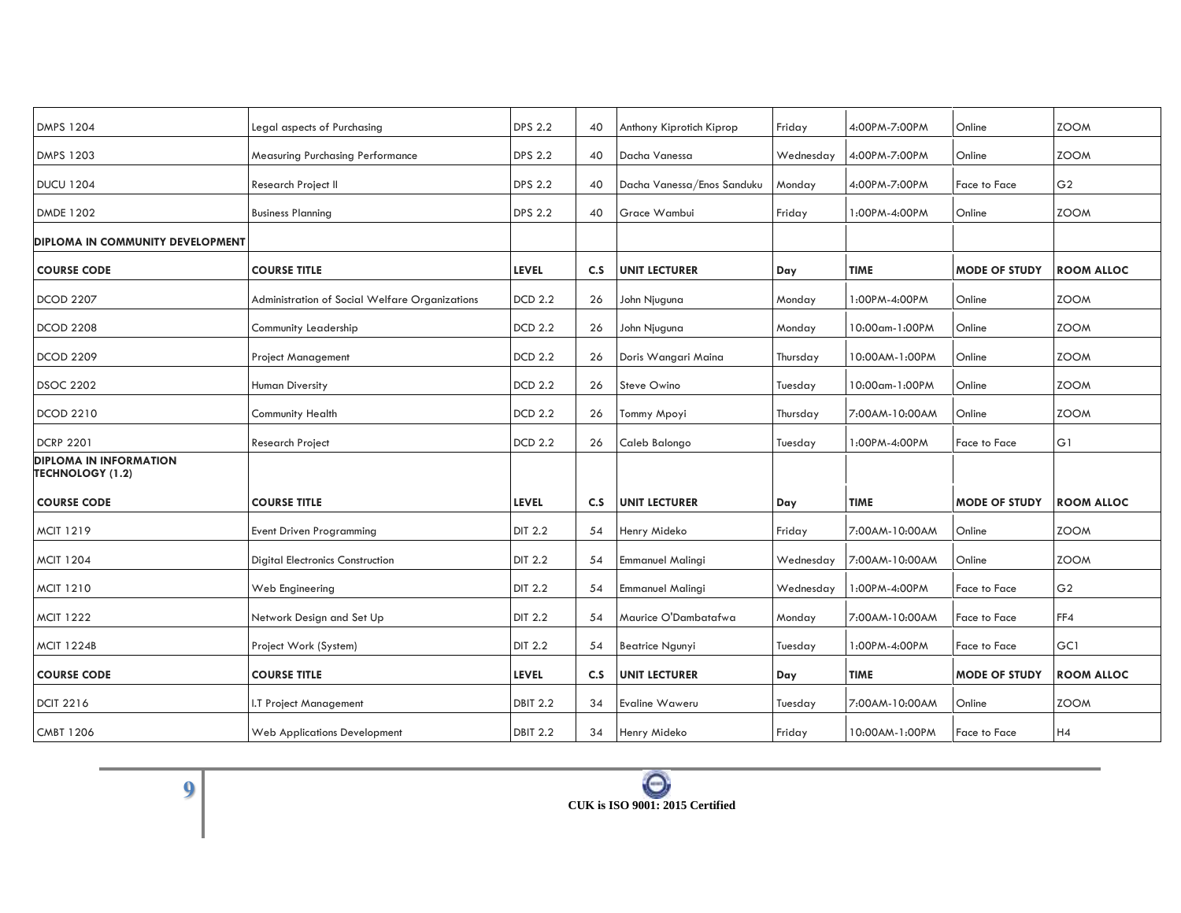| <b>DMPS 1204</b>                                         | Legal aspects of Purchasing                    | <b>DPS 2.2</b>  | 40  | Anthony Kiprotich Kiprop   | Friday    | 4:00PM-7:00PM  | Online               | <b>ZOOM</b>       |
|----------------------------------------------------------|------------------------------------------------|-----------------|-----|----------------------------|-----------|----------------|----------------------|-------------------|
| <b>DMPS 1203</b>                                         | <b>Measuring Purchasing Performance</b>        | <b>DPS 2.2</b>  | 40  | Dacha Vanessa              | Wednesday | 4:00PM-7:00PM  | Online               | <b>ZOOM</b>       |
| <b>DUCU 1204</b>                                         | Research Project II                            | <b>DPS 2.2</b>  | 40  | Dacha Vanessa/Enos Sanduku | Monday    | 4:00PM-7:00PM  | Face to Face         | G <sub>2</sub>    |
| <b>DMDE 1202</b>                                         | <b>Business Planning</b>                       | <b>DPS 2.2</b>  | 40  | Grace Wambui               | Friday    | 1:00PM-4:00PM  | Online               | <b>ZOOM</b>       |
| DIPLOMA IN COMMUNITY DEVELOPMENT                         |                                                |                 |     |                            |           |                |                      |                   |
| <b>COURSE CODE</b>                                       | <b>COURSE TITLE</b>                            | <b>LEVEL</b>    | C.S | <b>UNIT LECTURER</b>       | Day       | <b>TIME</b>    | <b>MODE OF STUDY</b> | <b>ROOM ALLOC</b> |
| <b>DCOD 2207</b>                                         | Administration of Social Welfare Organizations | <b>DCD 2.2</b>  | 26  | John Njuguna               | Monday    | 1:00PM-4:00PM  | Online               | <b>ZOOM</b>       |
| <b>DCOD 2208</b>                                         | Community Leadership                           | <b>DCD 2.2</b>  | 26  | John Njuguna               | Monday    | 10:00am-1:00PM | Online               | <b>ZOOM</b>       |
| <b>DCOD 2209</b>                                         | <b>Project Management</b>                      | <b>DCD 2.2</b>  | 26  | Doris Wangari Maina        | Thursday  | 10:00AM-1:00PM | Online               | <b>ZOOM</b>       |
| <b>DSOC 2202</b>                                         | <b>Human Diversity</b>                         | <b>DCD 2.2</b>  | 26  | Steve Owino                | Tuesday   | 10:00am-1:00PM | Online               | <b>ZOOM</b>       |
| <b>DCOD 2210</b>                                         | Community Health                               | <b>DCD 2.2</b>  | 26  | Tommy Mpoyi                | Thursday  | 7:00AM-10:00AM | Online               | <b>ZOOM</b>       |
| <b>DCRP 2201</b>                                         | <b>Research Project</b>                        | <b>DCD 2.2</b>  | 26  | Caleb Balongo              | Tuesday   | 1:00PM-4:00PM  | Face to Face         | G1                |
| <b>DIPLOMA IN INFORMATION</b><br><b>TECHNOLOGY (1.2)</b> |                                                |                 |     |                            |           |                |                      |                   |
| <b>COURSE CODE</b>                                       | <b>COURSE TITLE</b>                            | <b>LEVEL</b>    | C.S | <b>UNIT LECTURER</b>       | Day       | <b>TIME</b>    | <b>MODE OF STUDY</b> | <b>ROOM ALLOC</b> |
| <b>MCIT 1219</b>                                         | <b>Event Driven Programming</b>                | <b>DIT 2.2</b>  | 54  | Henry Mideko               | Friday    | 7:00AM-10:00AM | Online               | <b>ZOOM</b>       |
| <b>MCIT 1204</b>                                         | <b>Digital Electronics Construction</b>        | <b>DIT 2.2</b>  | 54  | <b>Emmanuel Malingi</b>    | Wednesday | 7:00AM-10:00AM | Online               | <b>ZOOM</b>       |
| <b>MCIT 1210</b>                                         | Web Engineering                                | <b>DIT 2.2</b>  | 54  | <b>Emmanuel Malingi</b>    | Wednesday | 1:00PM-4:00PM  | Face to Face         | G <sub>2</sub>    |
| <b>MCIT 1222</b>                                         | Network Design and Set Up                      | DIT 2.2         | 54  | Maurice O'Dambatafwa       | Monday    | 7:00AM-10:00AM | Face to Face         | FF4               |
| <b>MCIT 1224B</b>                                        | Project Work (System)                          | DIT 2.2         | 54  | <b>Beatrice Ngunyi</b>     | Tuesday   | 1:00PM-4:00PM  | Face to Face         | GC1               |
| <b>COURSE CODE</b>                                       | <b>COURSE TITLE</b>                            | <b>LEVEL</b>    | C.S | <b>UNIT LECTURER</b>       | Day       | <b>TIME</b>    | <b>MODE OF STUDY</b> | <b>ROOM ALLOC</b> |
| <b>DCIT 2216</b>                                         | I.T Project Management                         | <b>DBIT 2.2</b> | 34  | <b>Evaline Waweru</b>      | Tuesday   | 7:00AM-10:00AM | Online               | <b>ZOOM</b>       |
| <b>CMBT 1206</b>                                         | Web Applications Development                   | <b>DBIT 2.2</b> | 34  | Henry Mideko               | Friday    | 10:00AM-1:00PM | Face to Face         | H4                |
|                                                          |                                                |                 |     |                            |           |                |                      |                   |